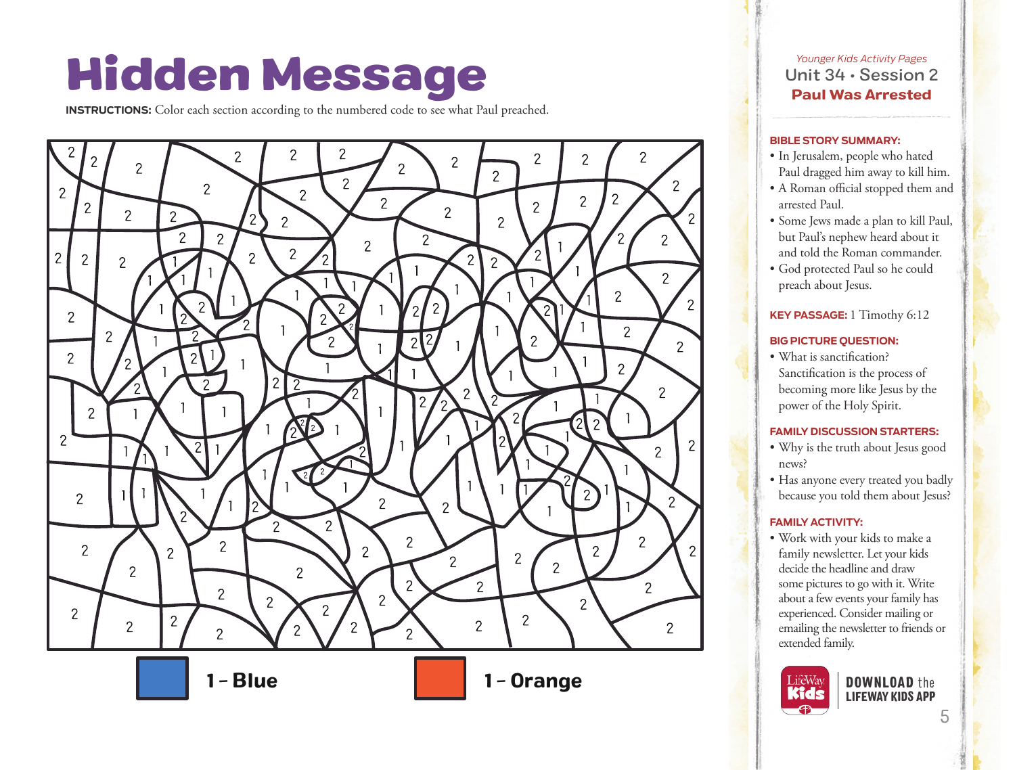# Hidden Message

**INSTRUCTIONS:** Color each section according to the numbered code to see what Paul preached.



*Younger Kids Activity Pages* Unit 34 • Session 2 Paul Was Arrested

#### **BIBLE STORY SUMMARY:**

- In Jerusalem, people who hated Paul dragged him away to kill him.
- A Roman official stopped them and arrested Paul.
- Some Jews made a plan to kill Paul, but Paul's nephew heard about it and told the Roman commander.
- God protected Paul so he could preach about Jesus.

## **KEY PASSAGE:** 1 Timothy 6:12

#### **BIG PICTURE QUESTION:**

• What is sanctification? Sanctification is the process of becoming more like Jesus by the power of the Holy Spirit.

### **FAMILY DISCUSSION STARTERS:**

- Why is the truth about Jesus good news?
- Has anyone every treated you badly because you told them about Jesus?

## **FAMILY ACTIVITY:**

• Work with your kids to make a family newsletter. Let your kids decide the headline and draw some pictures to go with it. Write about a few events your family has experienced. Consider mailing or emailing the newsletter to friends or extended family.